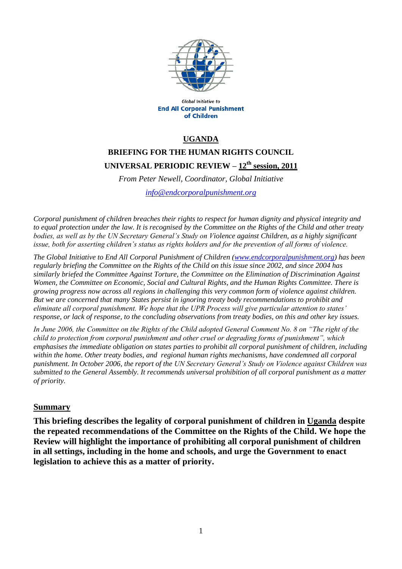

Global Initiative to **End All Corporal Punishment** of Children

### **UGANDA**

# **BRIEFING FOR THE HUMAN RIGHTS COUNCIL UNIVERSAL PERIODIC REVIEW – 12 th session, 2011**

*From Peter Newell, Coordinator, Global Initiative*

*[info@endcorporalpunishment.org](mailto:info@endcorporalpunishment.org)*

*Corporal punishment of children breaches their rights to respect for human dignity and physical integrity and to equal protection under the law. It is recognised by the Committee on the Rights of the Child and other treaty bodies, as well as by the UN Secretary General's Study on Violence against Children, as a highly significant issue, both for asserting children's status as rights holders and for the prevention of all forms of violence.*

*The Global Initiative to End All Corporal Punishment of Children [\(www.endcorporalpunishment.org\)](http://www.endcorporalpunishment.org/)* has been *regularly briefing the Committee on the Rights of the Child on this issue since 2002, and since 2004 has similarly briefed the Committee Against Torture, the Committee on the Elimination of Discrimination Against Women, the Committee on Economic, Social and Cultural Rights, and the Human Rights Committee. There is growing progress now across all regions in challenging this very common form of violence against children. But we are concerned that many States persist in ignoring treaty body recommendations to prohibit and eliminate all corporal punishment. We hope that the UPR Process will give particular attention to states' response, or lack of response, to the concluding observations from treaty bodies, on this and other key issues.*

*In June 2006, the Committee on the Rights of the Child adopted General Comment No. 8 on "The right of the child to protection from corporal punishment and other cruel or degrading forms of punishment", which emphasises the immediate obligation on states parties to prohibit all corporal punishment of children, including within the home. Other treaty bodies, and regional human rights mechanisms, have condemned all corporal punishment. In October 2006, the report of the UN Secretary General's Study on Violence against Children was submitted to the General Assembly. It recommends universal prohibition of all corporal punishment as a matter of priority.*

#### **Summary**

**This briefing describes the legality of corporal punishment of children in Uganda despite the repeated recommendations of the Committee on the Rights of the Child. We hope the Review will highlight the importance of prohibiting all corporal punishment of children in all settings, including in the home and schools, and urge the Government to enact legislation to achieve this as a matter of priority.**